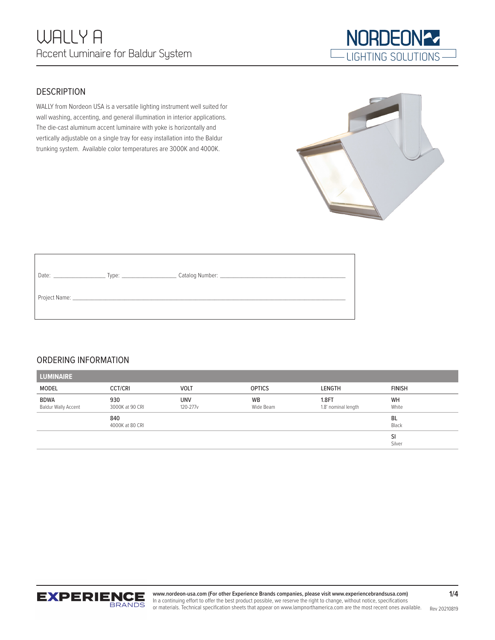

## **DESCRIPTION**

WALLY from Nordeon USA is a versatile lighting instrument well suited for wall washing, accenting, and general illumination in interior applications. The die-cast aluminum accent luminaire with yoke is horizontally and vertically adjustable on a single tray for easy installation into the Baldur trunking system. Available color temperatures are 3000K and 4000K.

# ORDERING INFORMATION

| <b>LUMINAIRE</b>                          |                        |                        |                        |                              |               |
|-------------------------------------------|------------------------|------------------------|------------------------|------------------------------|---------------|
| MODEL                                     | <b>CCT/CRI</b>         | <b>VOLT</b>            | <b>OPTICS</b>          | LENGTH                       | <b>FINISH</b> |
| <b>BDWA</b><br><b>Baldur Wally Accent</b> | 930<br>3000K at 90 CRI | <b>UNV</b><br>120-277v | <b>WB</b><br>Wide Beam | 1.8FT<br>1.8' nominal length | WH<br>White   |
|                                           | 840<br>4000K at 80 CRI |                        |                        |                              | BL<br>Black   |
|                                           |                        |                        |                        |                              | SI<br>Silver  |



Rev 20210819 **www.nordeon-usa.com (For other Experience Brands companies, please visit www.experiencebrandsusa.com)** In a continuing effort to offer the best product possible, we reserve the right to change, without notice, specifications or materials. Technical specification sheets that appear on www.lampnorthamerica.com are the most recent ones available.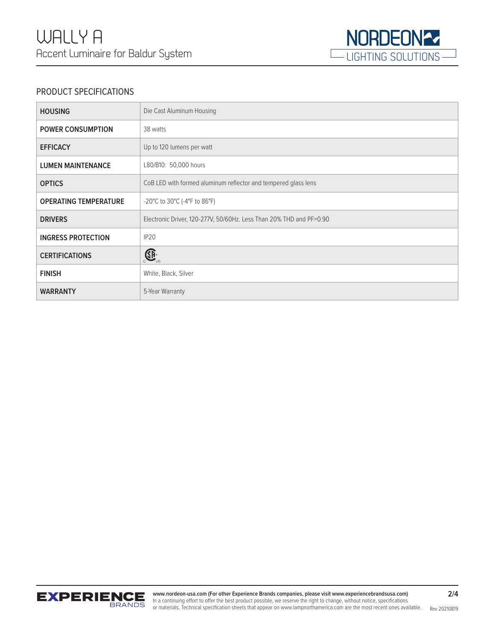

## PRODUCT SPECIFICATIONS

| <b>HOUSING</b>               | Die Cast Aluminum Housing                                           |
|------------------------------|---------------------------------------------------------------------|
| <b>POWER CONSUMPTION</b>     | 38 watts                                                            |
| <b>EFFICACY</b>              | Up to 120 lumens per watt                                           |
| <b>LUMEN MAINTENANCE</b>     | L80/B10: 50,000 hours                                               |
| <b>OPTICS</b>                | CoB LED with formed aluminum reflector and tempered glass lens      |
| <b>OPERATING TEMPERATURE</b> | -20°C to 30°C (-4°F to 86°F)                                        |
| <b>DRIVERS</b>               | Electronic Driver, 120-277V, 50/60Hz. Less Than 20% THD and PF>0.90 |
| <b>INGRESS PROTECTION</b>    | IP <sub>20</sub>                                                    |
| <b>CERTIFICATIONS</b>        | $\bigoplus_{\cup S}$                                                |
| <b>FINISH</b>                | White, Black, Silver                                                |
| <b>WARRANTY</b>              | 5-Year Warranty                                                     |

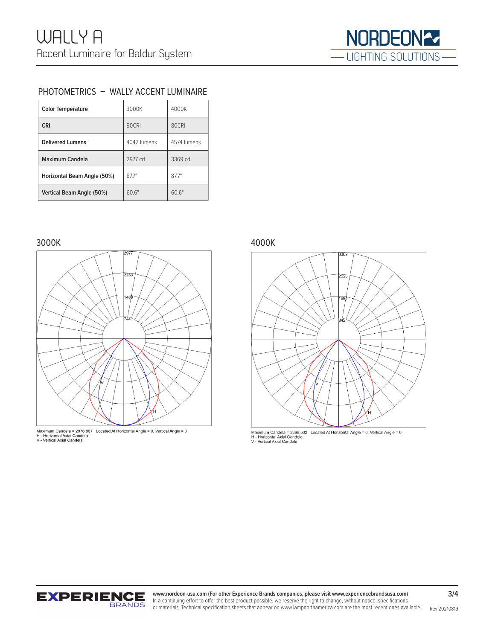

### PHOTOMETRICS – WALLY ACCENT LUMINAIRE

| <b>Color Temperature</b>    | 3000K        | 4000K        |
|-----------------------------|--------------|--------------|
| <b>CRI</b>                  | 90CRI        | 80CRI        |
| Delivered Lumens            | 4042 lumens  | 4574 lumens  |
| Maximum Candela             | 2977 cd      | 3369 cd      |
| Horizontal Beam Angle (50%) | $877^\circ$  | $877^\circ$  |
| Vertical Beam Angle (50%)   | $60.6^\circ$ | $60.6^\circ$ |

### 3000K 4000K





Maximum Candela = 3368.502 Located At Horizontal Angle = 0, Vertical Angle = 0<br>H - Horizontal Axial Candela<br>V - Vertical Axial Candela



or materials. Technical specification sheets that appear on www.lampnorthamerica.com are the most recent ones available. Rev 20210819 **www.nordeon-usa.com (For other Experience Brands companies, please visit www.experiencebrandsusa.com)** In a continuing effort to offer the best product possible, we reserve the right to change, without notice, specifications